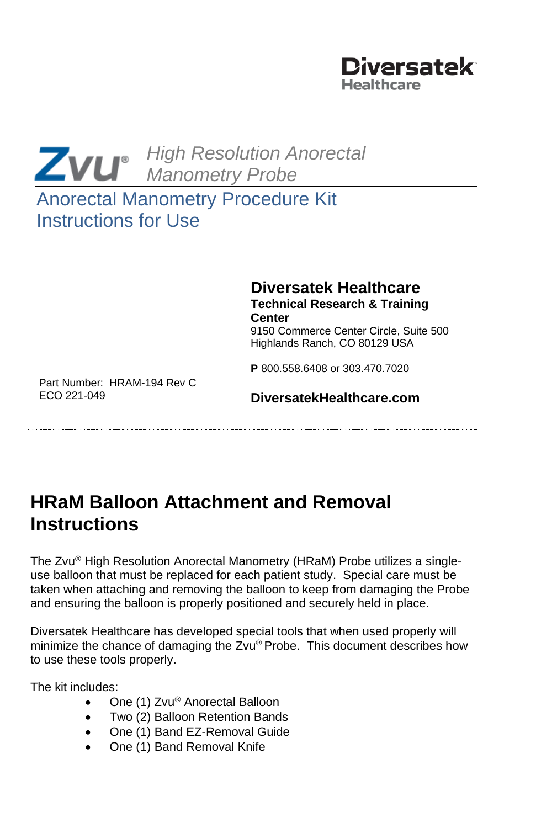



# Anorectal Manometry Procedure Kit Instructions for Use

#### **Diversatek Healthcare Technical Research & Training Center** 9150 Commerce Center Circle, Suite 500

Highlands Ranch, CO 80129 USA

**P** 800.558.6408 or 303.470.7020

Part Number: HRAM-194 Rev C ECO 221-049

#### **DiversatekHealthcare.com**

# **HRaM Balloon Attachment and Removal Instructions**

The Zvu® High Resolution Anorectal Manometry (HRaM) Probe utilizes a singleuse balloon that must be replaced for each patient study. Special care must be taken when attaching and removing the balloon to keep from damaging the Probe and ensuring the balloon is properly positioned and securely held in place.

Diversatek Healthcare has developed special tools that when used properly will minimize the chance of damaging the Zvu® Probe. This document describes how to use these tools properly.

The kit includes:

- One (1) Zvu® Anorectal Balloon
- Two (2) Balloon Retention Bands
- One (1) Band EZ-Removal Guide
- One (1) Band Removal Knife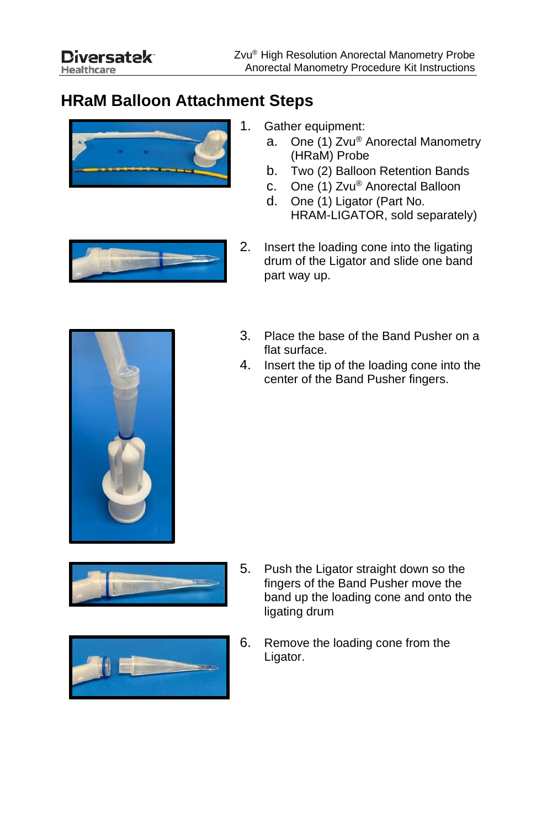### **HRaM Balloon Attachment Steps**



- 1. Gather equipment:
	- a. One (1) Zvu® Anorectal Manometry (HRaM) Probe
	- b. Two (2) Balloon Retention Bands
	- c. One (1) Zvu® Anorectal Balloon
	- d. One (1) Ligator (Part No. HRAM-LIGATOR, sold separately)
- 2. Insert the loading cone into the ligating drum of the Ligator and slide one band part way up.



- 3. Place the base of the Band Pusher on a flat surface.
- 4. Insert the tip of the loading cone into the center of the Band Pusher fingers.





- 5. Push the Ligator straight down so the fingers of the Band Pusher move the band up the loading cone and onto the ligating drum
- 6. Remove the loading cone from the Ligator.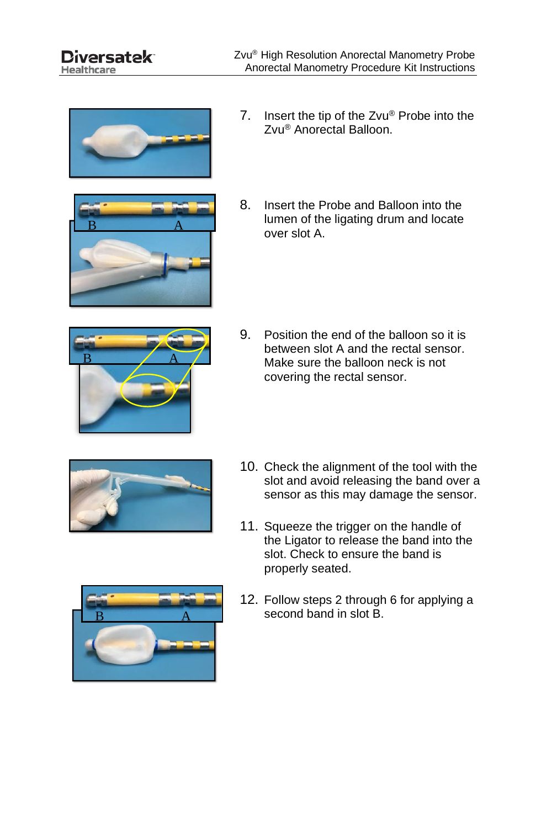Healthcare



 $\mathbf{B}$  A

- 7. Insert the tip of the Zvu® Probe into the Zvu® Anorectal Balloon.
- 8. Insert the Probe and Balloon into the lumen of the ligating drum and locate over slot A.



9. Position the end of the balloon so it is between slot A and the rectal sensor. Make sure the balloon neck is not covering the rectal sensor.



- 10. Check the alignment of the tool with the slot and avoid releasing the band over a sensor as this may damage the sensor.
- 11. Squeeze the trigger on the handle of the Ligator to release the band into the slot. Check to ensure the band is properly seated.



12. Follow steps 2 through 6 for applying a second band in slot B.